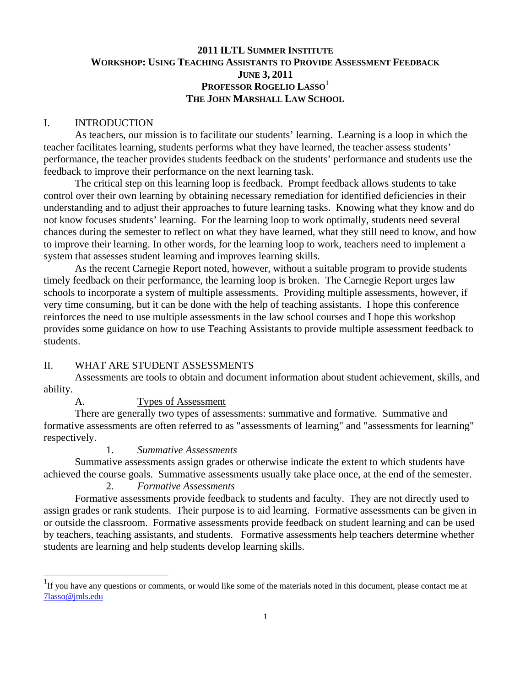# **2011 ILTL SUMMER INSTITUTE WORKSHOP: USING TEACHING ASSISTANTS TO PROVIDE ASSESSMENT FEEDBACK JUNE 3, 2011 PROFESSOR ROGELIO LASSO**<sup>1</sup> **THE JOHN MARSHALL LAW SCHOOL**

#### I. INTRODUCTION

 As teachers, our mission is to facilitate our students' learning. Learning is a loop in which the teacher facilitates learning, students performs what they have learned, the teacher assess students' performance, the teacher provides students feedback on the students' performance and students use the feedback to improve their performance on the next learning task.

 The critical step on this learning loop is feedback. Prompt feedback allows students to take control over their own learning by obtaining necessary remediation for identified deficiencies in their understanding and to adjust their approaches to future learning tasks. Knowing what they know and do not know focuses students' learning. For the learning loop to work optimally, students need several chances during the semester to reflect on what they have learned, what they still need to know, and how to improve their learning. In other words, for the learning loop to work, teachers need to implement a system that assesses student learning and improves learning skills.

 As the recent Carnegie Report noted, however, without a suitable program to provide students timely feedback on their performance, the learning loop is broken. The Carnegie Report urges law schools to incorporate a system of multiple assessments. Providing multiple assessments, however, if very time consuming, but it can be done with the help of teaching assistants. I hope this conference reinforces the need to use multiple assessments in the law school courses and I hope this workshop provides some guidance on how to use Teaching Assistants to provide multiple assessment feedback to students.

### II. WHAT ARE STUDENT ASSESSMENTS

 Assessments are tools to obtain and document information about student achievement, skills, and ability.

### A. Types of Assessment

 There are generally two types of assessments: summative and formative. Summative and formative assessments are often referred to as "assessments of learning" and "assessments for learning" respectively.

#### 1. *Summative Assessments*

 Summative assessments assign grades or otherwise indicate the extent to which students have achieved the course goals. Summative assessments usually take place once, at the end of the semester.

# 2. *Formative Assessments*

l

 Formative assessments provide feedback to students and faculty. They are not directly used to assign grades or rank students. Their purpose is to aid learning. Formative assessments can be given in or outside the classroom. Formative assessments provide feedback on student learning and can be used by teachers, teaching assistants, and students. Formative assessments help teachers determine whether students are learning and help students develop learning skills.

<sup>&</sup>lt;sup>1</sup>If you have any questions or comments, or would like some of the materials noted in this document, please contact me at 7lasso@jmls.edu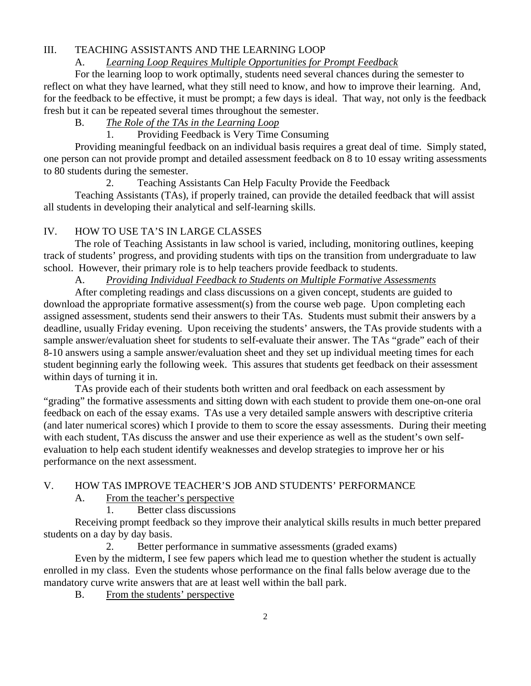# III. TEACHING ASSISTANTS AND THE LEARNING LOOP

### A. *Learning Loop Requires Multiple Opportunities for Prompt Feedback*

 For the learning loop to work optimally, students need several chances during the semester to reflect on what they have learned, what they still need to know, and how to improve their learning. And, for the feedback to be effective, it must be prompt; a few days is ideal. That way, not only is the feedback fresh but it can be repeated several times throughout the semester.

# B. *The Role of the TAs in the Learning Loop*

1. Providing Feedback is Very Time Consuming

 Providing meaningful feedback on an individual basis requires a great deal of time. Simply stated, one person can not provide prompt and detailed assessment feedback on 8 to 10 essay writing assessments to 80 students during the semester.

2. Teaching Assistants Can Help Faculty Provide the Feedback

 Teaching Assistants (TAs), if properly trained, can provide the detailed feedback that will assist all students in developing their analytical and self-learning skills.

# IV. HOW TO USE TA'S IN LARGE CLASSES

 The role of Teaching Assistants in law school is varied, including, monitoring outlines, keeping track of students' progress, and providing students with tips on the transition from undergraduate to law school. However, their primary role is to help teachers provide feedback to students.

A. *Providing Individual Feedback to Students on Multiple Formative Assessments*

 After completing readings and class discussions on a given concept, students are guided to download the appropriate formative assessment(s) from the course web page. Upon completing each assigned assessment, students send their answers to their TAs. Students must submit their answers by a deadline, usually Friday evening. Upon receiving the students' answers, the TAs provide students with a sample answer/evaluation sheet for students to self-evaluate their answer. The TAs "grade" each of their 8-10 answers using a sample answer/evaluation sheet and they set up individual meeting times for each student beginning early the following week. This assures that students get feedback on their assessment within days of turning it in.

 TAs provide each of their students both written and oral feedback on each assessment by "grading" the formative assessments and sitting down with each student to provide them one-on-one oral feedback on each of the essay exams. TAs use a very detailed sample answers with descriptive criteria (and later numerical scores) which I provide to them to score the essay assessments. During their meeting with each student, TAs discuss the answer and use their experience as well as the student's own selfevaluation to help each student identify weaknesses and develop strategies to improve her or his performance on the next assessment.

## V. HOW TAS IMPROVE TEACHER'S JOB AND STUDENTS' PERFORMANCE

A. From the teacher's perspective

1. Better class discussions

 Receiving prompt feedback so they improve their analytical skills results in much better prepared students on a day by day basis.

2. Better performance in summative assessments (graded exams)

 Even by the midterm, I see few papers which lead me to question whether the student is actually enrolled in my class. Even the students whose performance on the final falls below average due to the mandatory curve write answers that are at least well within the ball park.

B. From the students' perspective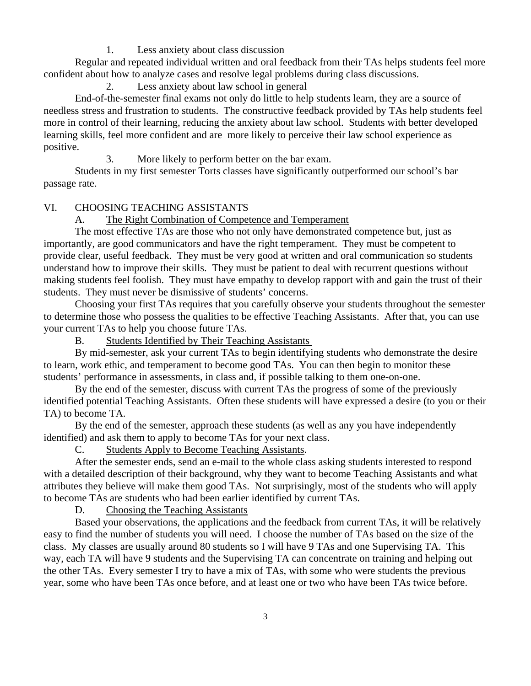1. Less anxiety about class discussion

 Regular and repeated individual written and oral feedback from their TAs helps students feel more confident about how to analyze cases and resolve legal problems during class discussions.

2. Less anxiety about law school in general

 End-of-the-semester final exams not only do little to help students learn, they are a source of needless stress and frustration to students. The constructive feedback provided by TAs help students feel more in control of their learning, reducing the anxiety about law school. Students with better developed learning skills, feel more confident and are more likely to perceive their law school experience as positive.

3. More likely to perform better on the bar exam.

 Students in my first semester Torts classes have significantly outperformed our school's bar passage rate.

### VI. CHOOSING TEACHING ASSISTANTS

A. The Right Combination of Competence and Temperament

 The most effective TAs are those who not only have demonstrated competence but, just as importantly, are good communicators and have the right temperament. They must be competent to provide clear, useful feedback. They must be very good at written and oral communication so students understand how to improve their skills. They must be patient to deal with recurrent questions without making students feel foolish. They must have empathy to develop rapport with and gain the trust of their students. They must never be dismissive of students' concerns.

 Choosing your first TAs requires that you carefully observe your students throughout the semester to determine those who possess the qualities to be effective Teaching Assistants. After that, you can use your current TAs to help you choose future TAs.

B. Students Identified by Their Teaching Assistants

 By mid-semester, ask your current TAs to begin identifying students who demonstrate the desire to learn, work ethic, and temperament to become good TAs. You can then begin to monitor these students' performance in assessments, in class and, if possible talking to them one-on-one.

 By the end of the semester, discuss with current TAs the progress of some of the previously identified potential Teaching Assistants. Often these students will have expressed a desire (to you or their TA) to become TA.

 By the end of the semester, approach these students (as well as any you have independently identified) and ask them to apply to become TAs for your next class.

C. Students Apply to Become Teaching Assistants.

 After the semester ends, send an e-mail to the whole class asking students interested to respond with a detailed description of their background, why they want to become Teaching Assistants and what attributes they believe will make them good TAs. Not surprisingly, most of the students who will apply to become TAs are students who had been earlier identified by current TAs.

D. Choosing the Teaching Assistants

 Based your observations, the applications and the feedback from current TAs, it will be relatively easy to find the number of students you will need. I choose the number of TAs based on the size of the class. My classes are usually around 80 students so I will have 9 TAs and one Supervising TA. This way, each TA will have 9 students and the Supervising TA can concentrate on training and helping out the other TAs. Every semester I try to have a mix of TAs, with some who were students the previous year, some who have been TAs once before, and at least one or two who have been TAs twice before.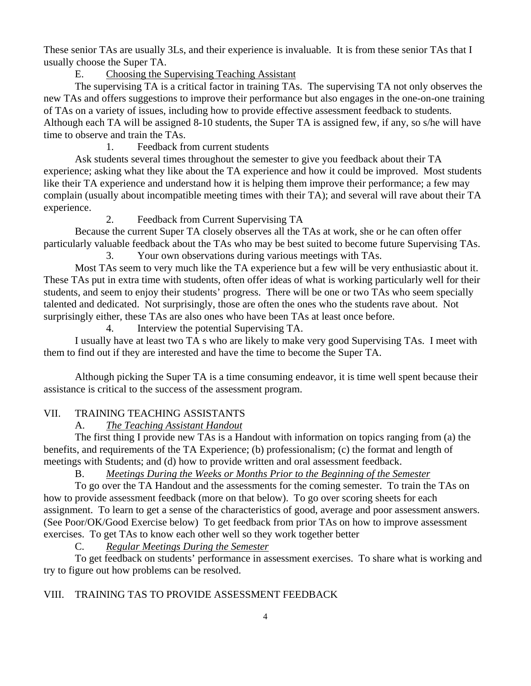These senior TAs are usually 3Ls, and their experience is invaluable. It is from these senior TAs that I usually choose the Super TA.

E. Choosing the Supervising Teaching Assistant

 The supervising TA is a critical factor in training TAs. The supervising TA not only observes the new TAs and offers suggestions to improve their performance but also engages in the one-on-one training of TAs on a variety of issues, including how to provide effective assessment feedback to students. Although each TA will be assigned 8-10 students, the Super TA is assigned few, if any, so s/he will have time to observe and train the TAs.

1. Feedback from current students

 Ask students several times throughout the semester to give you feedback about their TA experience; asking what they like about the TA experience and how it could be improved. Most students like their TA experience and understand how it is helping them improve their performance; a few may complain (usually about incompatible meeting times with their TA); and several will rave about their TA experience.

2. Feedback from Current Supervising TA

 Because the current Super TA closely observes all the TAs at work, she or he can often offer particularly valuable feedback about the TAs who may be best suited to become future Supervising TAs. 3. Your own observations during various meetings with TAs.

 Most TAs seem to very much like the TA experience but a few will be very enthusiastic about it. These TAs put in extra time with students, often offer ideas of what is working particularly well for their students, and seem to enjoy their students' progress. There will be one or two TAs who seem specially talented and dedicated. Not surprisingly, those are often the ones who the students rave about. Not surprisingly either, these TAs are also ones who have been TAs at least once before.

4. Interview the potential Supervising TA.

 I usually have at least two TA s who are likely to make very good Supervising TAs. I meet with them to find out if they are interested and have the time to become the Super TA.

 Although picking the Super TA is a time consuming endeavor, it is time well spent because their assistance is critical to the success of the assessment program.

# VII. TRAINING TEACHING ASSISTANTS

A. *The Teaching Assistant Handout*

 The first thing I provide new TAs is a Handout with information on topics ranging from (a) the benefits, and requirements of the TA Experience; (b) professionalism; (c) the format and length of meetings with Students; and (d) how to provide written and oral assessment feedback.

B. *Meetings During the Weeks or Months Prior to the Beginning of the Semester*

 To go over the TA Handout and the assessments for the coming semester. To train the TAs on how to provide assessment feedback (more on that below). To go over scoring sheets for each assignment. To learn to get a sense of the characteristics of good, average and poor assessment answers. (See Poor/OK/Good Exercise below) To get feedback from prior TAs on how to improve assessment exercises. To get TAs to know each other well so they work together better

C. *Regular Meetings During the Semester*

 To get feedback on students' performance in assessment exercises. To share what is working and try to figure out how problems can be resolved.

# VIII. TRAINING TAS TO PROVIDE ASSESSMENT FEEDBACK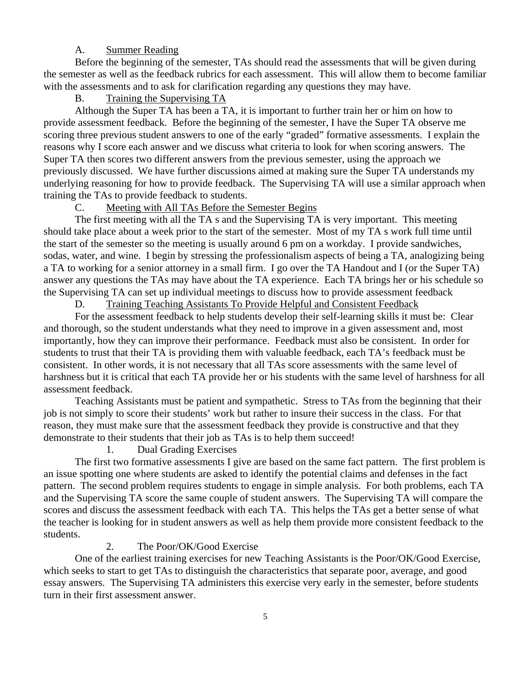### A. Summer Reading

 Before the beginning of the semester, TAs should read the assessments that will be given during the semester as well as the feedback rubrics for each assessment. This will allow them to become familiar with the assessments and to ask for clarification regarding any questions they may have.

### B. Training the Supervising TA

 Although the Super TA has been a TA, it is important to further train her or him on how to provide assessment feedback. Before the beginning of the semester, I have the Super TA observe me scoring three previous student answers to one of the early "graded" formative assessments. I explain the reasons why I score each answer and we discuss what criteria to look for when scoring answers. The Super TA then scores two different answers from the previous semester, using the approach we previously discussed. We have further discussions aimed at making sure the Super TA understands my underlying reasoning for how to provide feedback. The Supervising TA will use a similar approach when training the TAs to provide feedback to students.

# C. Meeting with All TAs Before the Semester Begins

 The first meeting with all the TA s and the Supervising TA is very important. This meeting should take place about a week prior to the start of the semester. Most of my TA s work full time until the start of the semester so the meeting is usually around 6 pm on a workday. I provide sandwiches, sodas, water, and wine. I begin by stressing the professionalism aspects of being a TA, analogizing being a TA to working for a senior attorney in a small firm. I go over the TA Handout and I (or the Super TA) answer any questions the TAs may have about the TA experience. Each TA brings her or his schedule so the Supervising TA can set up individual meetings to discuss how to provide assessment feedback

D. Training Teaching Assistants To Provide Helpful and Consistent Feedback

 For the assessment feedback to help students develop their self-learning skills it must be: Clear and thorough, so the student understands what they need to improve in a given assessment and, most importantly, how they can improve their performance. Feedback must also be consistent. In order for students to trust that their TA is providing them with valuable feedback, each TA's feedback must be consistent. In other words, it is not necessary that all TAs score assessments with the same level of harshness but it is critical that each TA provide her or his students with the same level of harshness for all assessment feedback.

 Teaching Assistants must be patient and sympathetic. Stress to TAs from the beginning that their job is not simply to score their students' work but rather to insure their success in the class. For that reason, they must make sure that the assessment feedback they provide is constructive and that they demonstrate to their students that their job as TAs is to help them succeed!

#### 1. Dual Grading Exercises

 The first two formative assessments I give are based on the same fact pattern. The first problem is an issue spotting one where students are asked to identify the potential claims and defenses in the fact pattern. The second problem requires students to engage in simple analysis. For both problems, each TA and the Supervising TA score the same couple of student answers. The Supervising TA will compare the scores and discuss the assessment feedback with each TA. This helps the TAs get a better sense of what the teacher is looking for in student answers as well as help them provide more consistent feedback to the students.

#### 2. The Poor/OK/Good Exercise

 One of the earliest training exercises for new Teaching Assistants is the Poor/OK/Good Exercise, which seeks to start to get TAs to distinguish the characteristics that separate poor, average, and good essay answers. The Supervising TA administers this exercise very early in the semester, before students turn in their first assessment answer.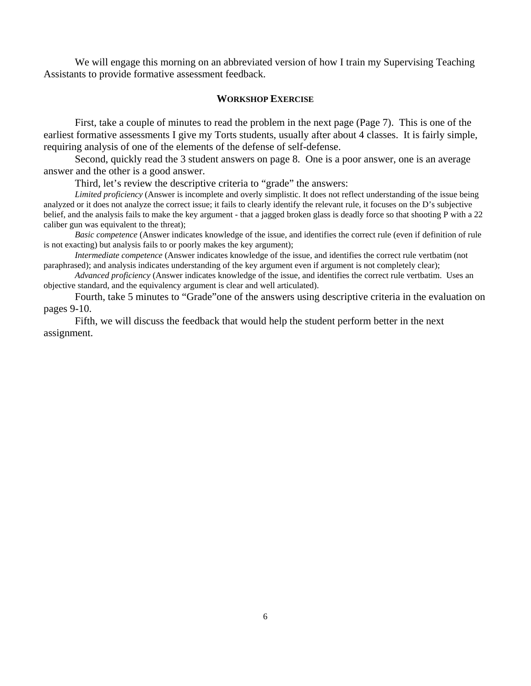We will engage this morning on an abbreviated version of how I train my Supervising Teaching Assistants to provide formative assessment feedback.

#### **WORKSHOP EXERCISE**

 First, take a couple of minutes to read the problem in the next page (Page 7). This is one of the earliest formative assessments I give my Torts students, usually after about 4 classes. It is fairly simple, requiring analysis of one of the elements of the defense of self-defense.

 Second, quickly read the 3 student answers on page 8. One is a poor answer, one is an average answer and the other is a good answer.

Third, let's review the descriptive criteria to "grade" the answers:

*Limited proficiency* (Answer is incomplete and overly simplistic. It does not reflect understanding of the issue being analyzed or it does not analyze the correct issue; it fails to clearly identify the relevant rule, it focuses on the D's subjective belief, and the analysis fails to make the key argument - that a jagged broken glass is deadly force so that shooting P with a 22 caliber gun was equivalent to the threat);

 *Basic competence* (Answer indicates knowledge of the issue, and identifies the correct rule (even if definition of rule is not exacting) but analysis fails to or poorly makes the key argument);

 *Intermediate competence* (Answer indicates knowledge of the issue, and identifies the correct rule vertbatim (not paraphrased); and analysis indicates understanding of the key argument even if argument is not completely clear);

 *Advanced proficiency* (Answer indicates knowledge of the issue, and identifies the correct rule vertbatim. Uses an objective standard, and the equivalency argument is clear and well articulated).

 Fourth, take 5 minutes to "Grade"one of the answers using descriptive criteria in the evaluation on pages 9-10.

 Fifth, we will discuss the feedback that would help the student perform better in the next assignment.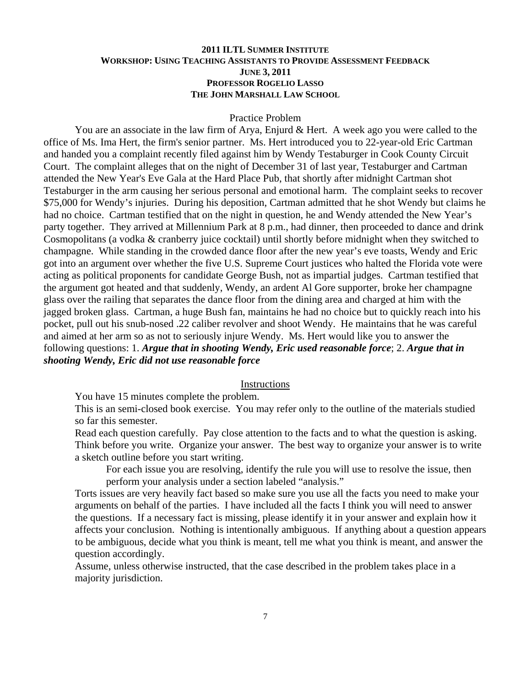### **2011 ILTL SUMMER INSTITUTE WORKSHOP: USING TEACHING ASSISTANTS TO PROVIDE ASSESSMENT FEEDBACK JUNE 3, 2011 PROFESSOR ROGELIO LASSO THE JOHN MARSHALL LAW SCHOOL**

#### Practice Problem

 You are an associate in the law firm of Arya, Enjurd & Hert. A week ago you were called to the office of Ms. Ima Hert, the firm's senior partner. Ms. Hert introduced you to 22-year-old Eric Cartman and handed you a complaint recently filed against him by Wendy Testaburger in Cook County Circuit Court. The complaint alleges that on the night of December 31 of last year, Testaburger and Cartman attended the New Year's Eve Gala at the Hard Place Pub, that shortly after midnight Cartman shot Testaburger in the arm causing her serious personal and emotional harm. The complaint seeks to recover \$75,000 for Wendy's injuries. During his deposition, Cartman admitted that he shot Wendy but claims he had no choice. Cartman testified that on the night in question, he and Wendy attended the New Year's party together. They arrived at Millennium Park at 8 p.m., had dinner, then proceeded to dance and drink Cosmopolitans (a vodka & cranberry juice cocktail) until shortly before midnight when they switched to champagne. While standing in the crowded dance floor after the new year's eve toasts, Wendy and Eric got into an argument over whether the five U.S. Supreme Court justices who halted the Florida vote were acting as political proponents for candidate George Bush, not as impartial judges. Cartman testified that the argument got heated and that suddenly, Wendy, an ardent Al Gore supporter, broke her champagne glass over the railing that separates the dance floor from the dining area and charged at him with the jagged broken glass. Cartman, a huge Bush fan, maintains he had no choice but to quickly reach into his pocket, pull out his snub-nosed .22 caliber revolver and shoot Wendy. He maintains that he was careful and aimed at her arm so as not to seriously injure Wendy. Ms. Hert would like you to answer the following questions: 1. *Argue that in shooting Wendy, Eric used reasonable force*; 2. *Argue that in shooting Wendy, Eric did not use reasonable force*

### **Instructions**

You have 15 minutes complete the problem.

This is an semi-closed book exercise. You may refer only to the outline of the materials studied so far this semester.

Read each question carefully. Pay close attention to the facts and to what the question is asking. Think before you write. Organize your answer. The best way to organize your answer is to write a sketch outline before you start writing.

For each issue you are resolving, identify the rule you will use to resolve the issue, then perform your analysis under a section labeled "analysis."

Torts issues are very heavily fact based so make sure you use all the facts you need to make your arguments on behalf of the parties. I have included all the facts I think you will need to answer the questions. If a necessary fact is missing, please identify it in your answer and explain how it affects your conclusion. Nothing is intentionally ambiguous. If anything about a question appears to be ambiguous, decide what you think is meant, tell me what you think is meant, and answer the question accordingly.

Assume, unless otherwise instructed, that the case described in the problem takes place in a majority jurisdiction.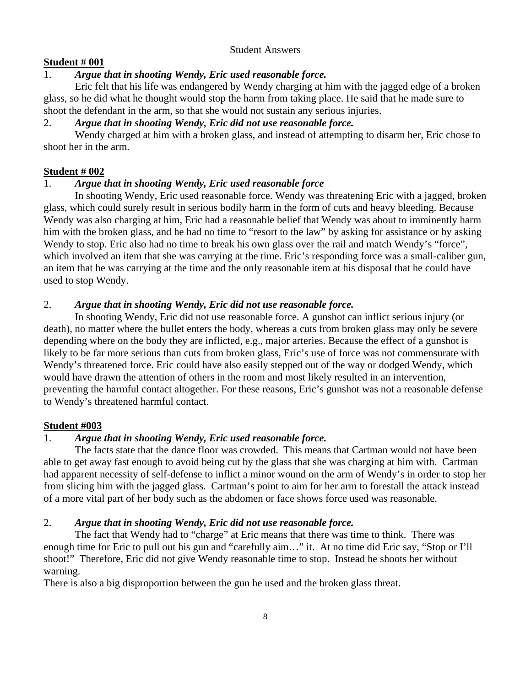#### Student Answers

### **Student # 001**

# 1. *Argue that in shooting Wendy, Eric used reasonable force.*

 Eric felt that his life was endangered by Wendy charging at him with the jagged edge of a broken glass, so he did what he thought would stop the harm from taking place. He said that he made sure to shoot the defendant in the arm, so that she would not sustain any serious injuries.

# 2. *Argue that in shooting Wendy, Eric did not use reasonable force.*

 Wendy charged at him with a broken glass, and instead of attempting to disarm her, Eric chose to shoot her in the arm.

# **Student # 002**

# 1. *Argue that in shooting Wendy, Eric used reasonable force*

 In shooting Wendy, Eric used reasonable force. Wendy was threatening Eric with a jagged, broken glass, which could surely result in serious bodily harm in the form of cuts and heavy bleeding. Because Wendy was also charging at him, Eric had a reasonable belief that Wendy was about to imminently harm him with the broken glass, and he had no time to "resort to the law" by asking for assistance or by asking Wendy to stop. Eric also had no time to break his own glass over the rail and match Wendy's "force", which involved an item that she was carrying at the time. Eric's responding force was a small-caliber gun, an item that he was carrying at the time and the only reasonable item at his disposal that he could have used to stop Wendy.

# 2. *Argue that in shooting Wendy, Eric did not use reasonable force.*

 In shooting Wendy, Eric did not use reasonable force. A gunshot can inflict serious injury (or death), no matter where the bullet enters the body, whereas a cuts from broken glass may only be severe depending where on the body they are inflicted, e.g., major arteries. Because the effect of a gunshot is likely to be far more serious than cuts from broken glass, Eric's use of force was not commensurate with Wendy's threatened force. Eric could have also easily stepped out of the way or dodged Wendy, which would have drawn the attention of others in the room and most likely resulted in an intervention, preventing the harmful contact altogether. For these reasons, Eric's gunshot was not a reasonable defense to Wendy's threatened harmful contact.

# **Student #003**

# 1. *Argue that in shooting Wendy, Eric used reasonable force.*

 The facts state that the dance floor was crowded. This means that Cartman would not have been able to get away fast enough to avoid being cut by the glass that she was charging at him with. Cartman had apparent necessity of self-defense to inflict a minor wound on the arm of Wendy's in order to stop her from slicing him with the jagged glass. Cartman's point to aim for her arm to forestall the attack instead of a more vital part of her body such as the abdomen or face shows force used was reasonable.

## 2. *Argue that in shooting Wendy, Eric did not use reasonable force.*

 The fact that Wendy had to "charge" at Eric means that there was time to think. There was enough time for Eric to pull out his gun and "carefully aim…" it. At no time did Eric say, "Stop or I'll shoot!" Therefore, Eric did not give Wendy reasonable time to stop. Instead he shoots her without warning.

There is also a big disproportion between the gun he used and the broken glass threat.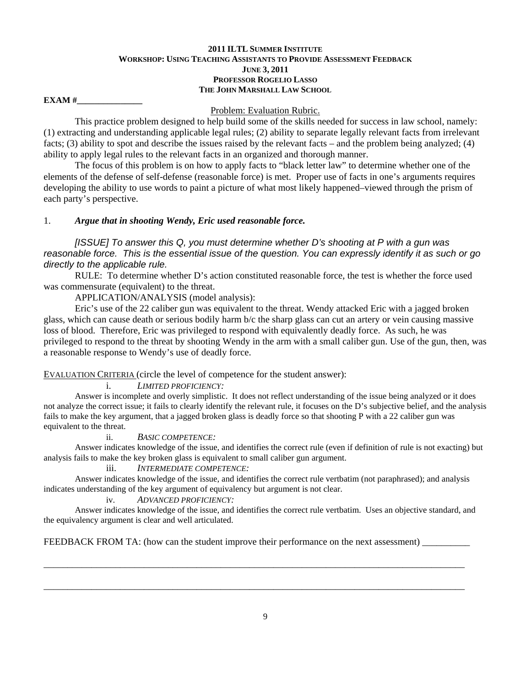#### **2011 ILTL SUMMER INSTITUTE WORKSHOP: USING TEACHING ASSISTANTS TO PROVIDE ASSESSMENT FEEDBACK JUNE 3, 2011 PROFESSOR ROGELIO LASSO THE JOHN MARSHALL LAW SCHOOL**

**EXAM** #

Problem: Evaluation Rubric.

 This practice problem designed to help build some of the skills needed for success in law school, namely: (1) extracting and understanding applicable legal rules; (2) ability to separate legally relevant facts from irrelevant facts; (3) ability to spot and describe the issues raised by the relevant facts – and the problem being analyzed; (4) ability to apply legal rules to the relevant facts in an organized and thorough manner.

 The focus of this problem is on how to apply facts to "black letter law" to determine whether one of the elements of the defense of self-defense (reasonable force) is met. Proper use of facts in one's arguments requires developing the ability to use words to paint a picture of what most likely happened–viewed through the prism of each party's perspective.

### 1. *Argue that in shooting Wendy, Eric used reasonable force.*

*[ISSUE] To answer this Q, you must determine whether D's shooting at P with a gun was reasonable force. This is the essential issue of the question. You can expressly identify it as such or go directly to the applicable rule.* 

 RULE: To determine whether D's action constituted reasonable force, the test is whether the force used was commensurate (equivalent) to the threat.

APPLICATION/ANALYSIS (model analysis):

 Eric's use of the 22 caliber gun was equivalent to the threat. Wendy attacked Eric with a jagged broken glass, which can cause death or serious bodily harm b/c the sharp glass can cut an artery or vein causing massive loss of blood. Therefore, Eric was privileged to respond with equivalently deadly force. As such, he was privileged to respond to the threat by shooting Wendy in the arm with a small caliber gun. Use of the gun, then, was a reasonable response to Wendy's use of deadly force.

EVALUATION CRITERIA (circle the level of competence for the student answer):

i. *LIMITED PROFICIENCY:*

 Answer is incomplete and overly simplistic. It does not reflect understanding of the issue being analyzed or it does not analyze the correct issue; it fails to clearly identify the relevant rule, it focuses on the D's subjective belief, and the analysis fails to make the key argument, that a jagged broken glass is deadly force so that shooting P with a 22 caliber gun was equivalent to the threat.

### ii. *BASIC COMPETENCE:*

 Answer indicates knowledge of the issue, and identifies the correct rule (even if definition of rule is not exacting) but analysis fails to make the key broken glass is equivalent to small caliber gun argument.

### iii. *INTERMEDIATE COMPETENCE:*

 Answer indicates knowledge of the issue, and identifies the correct rule vertbatim (not paraphrased); and analysis indicates understanding of the key argument of equivalency but argument is not clear.

### iv. *ADVANCED PROFICIENCY:*

 Answer indicates knowledge of the issue, and identifies the correct rule vertbatim. Uses an objective standard, and the equivalency argument is clear and well articulated.

FEEDBACK FROM TA: (how can the student improve their performance on the next assessment) \_\_\_\_\_\_\_\_\_\_

\_\_\_\_\_\_\_\_\_\_\_\_\_\_\_\_\_\_\_\_\_\_\_\_\_\_\_\_\_\_\_\_\_\_\_\_\_\_\_\_\_\_\_\_\_\_\_\_\_\_\_\_\_\_\_\_\_\_\_\_\_\_\_\_\_\_\_\_\_\_\_\_\_\_\_\_\_\_\_\_\_\_\_\_\_\_\_\_

\_\_\_\_\_\_\_\_\_\_\_\_\_\_\_\_\_\_\_\_\_\_\_\_\_\_\_\_\_\_\_\_\_\_\_\_\_\_\_\_\_\_\_\_\_\_\_\_\_\_\_\_\_\_\_\_\_\_\_\_\_\_\_\_\_\_\_\_\_\_\_\_\_\_\_\_\_\_\_\_\_\_\_\_\_\_\_\_